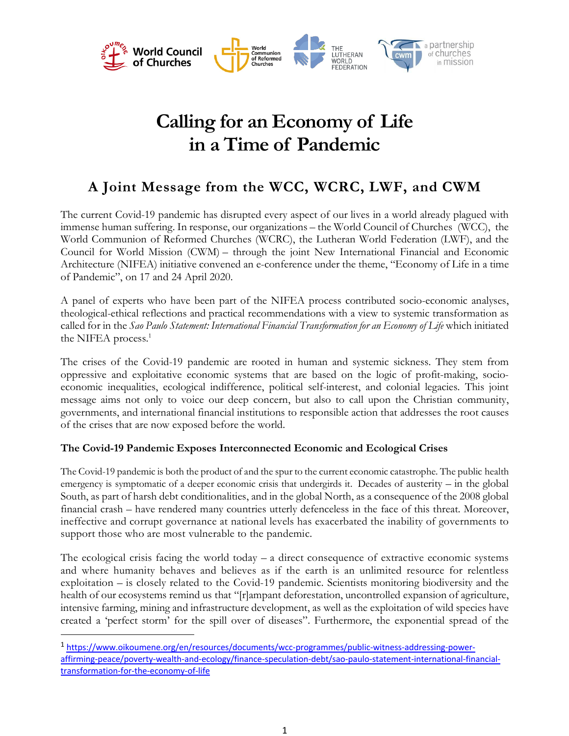

# **Calling for an Economy of Life in a Time of Pandemic**

## **A Joint Message from the WCC, WCRC, LWF, and CWM**

The current Covid-19 pandemic has disrupted every aspect of our lives in a world already plagued with immense human suffering. In response, our organizations – the World Council of Churches (WCC), the World Communion of Reformed Churches (WCRC), the Lutheran World Federation (LWF), and the Council for World Mission (CWM) – through the joint New International Financial and Economic Architecture (NIFEA) initiative convened an e-conference under the theme, "Economy of Life in a time of Pandemic", on 17 and 24 April 2020.

A panel of experts who have been part of the NIFEA process contributed socio-economic analyses, theological-ethical reflections and practical recommendations with a view to systemic transformation as called for in the *Sao Paulo Statement: International Financial Transformation for an Economy of Life* which initiated the NIFEA process.<sup>1</sup>

The crises of the Covid-19 pandemic are rooted in human and systemic sickness. They stem from oppressive and exploitative economic systems that are based on the logic of profit-making, socioeconomic inequalities, ecological indifference, political self-interest, and colonial legacies. This joint message aims not only to voice our deep concern, but also to call upon the Christian community, governments, and international financial institutions to responsible action that addresses the root causes of the crises that are now exposed before the world.

### **The Covid-19 Pandemic Exposes Interconnected Economic and Ecological Crises**

The Covid-19 pandemic is both the product of and the spur to the current economic catastrophe. The public health emergency is symptomatic of a deeper economic crisis that undergirds it. Decades of austerity – in the global South, as part of harsh debt conditionalities, and in the global North, as a consequence of the 2008 global financial crash – have rendered many countries utterly defenceless in the face of this threat. Moreover, ineffective and corrupt governance at national levels has exacerbated the inability of governments to support those who are most vulnerable to the pandemic.

The ecological crisis facing the world today – a direct consequence of extractive economic systems and where humanity behaves and believes as if the earth is an unlimited resource for relentless exploitation – is closely related to the Covid-19 pandemic. Scientists monitoring biodiversity and the health of our ecosystems remind us that "[r]ampant deforestation, uncontrolled expansion of agriculture, intensive farming, mining and infrastructure development, as well as the exploitation of wild species have created a 'perfect storm' for the spill over of diseases". Furthermore, the exponential spread of the

<sup>1</sup> https://www.oikoumene.org/en/resources/documents/wcc-programmes/public-witness-addressing-poweraffirming-peace/poverty-wealth-and-ecology/finance-speculation-debt/sao-paulo-statement-international-financialtransformation-for-the-economy-of-life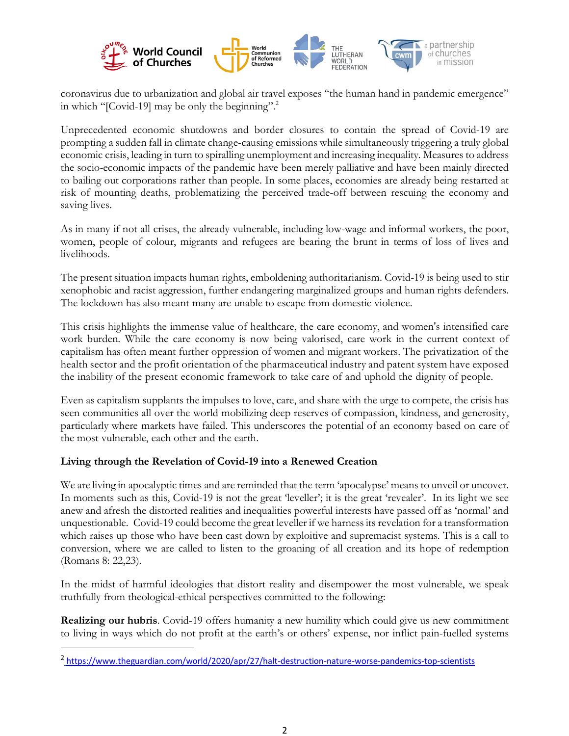

coronavirus due to urbanization and global air travel exposes "the human hand in pandemic emergence" in which "[Covid-19] may be only the beginning".<sup>2</sup>

Unprecedented economic shutdowns and border closures to contain the spread of Covid-19 are prompting a sudden fall in climate change-causing emissions while simultaneously triggering a truly global economic crisis, leading in turn to spiralling unemployment and increasing inequality. Measures to address the socio-economic impacts of the pandemic have been merely palliative and have been mainly directed to bailing out corporations rather than people. In some places, economies are already being restarted at risk of mounting deaths, problematizing the perceived trade-off between rescuing the economy and saving lives.

As in many if not all crises, the already vulnerable, including low-wage and informal workers, the poor, women, people of colour, migrants and refugees are bearing the brunt in terms of loss of lives and livelihoods.

The present situation impacts human rights, emboldening authoritarianism. Covid-19 is being used to stir xenophobic and racist aggression, further endangering marginalized groups and human rights defenders. The lockdown has also meant many are unable to escape from domestic violence.

This crisis highlights the immense value of healthcare, the care economy, and women's intensified care work burden. While the care economy is now being valorised, care work in the current context of capitalism has often meant further oppression of women and migrant workers. The privatization of the health sector and the profit orientation of the pharmaceutical industry and patent system have exposed the inability of the present economic framework to take care of and uphold the dignity of people.

Even as capitalism supplants the impulses to love, care, and share with the urge to compete, the crisis has seen communities all over the world mobilizing deep reserves of compassion, kindness, and generosity, particularly where markets have failed. This underscores the potential of an economy based on care of the most vulnerable, each other and the earth.

#### **Living through the Revelation of Covid-19 into a Renewed Creation**

We are living in apocalyptic times and are reminded that the term 'apocalypse' means to unveil or uncover. In moments such as this, Covid-19 is not the great 'leveller'; it is the great 'revealer'. In its light we see anew and afresh the distorted realities and inequalities powerful interests have passed off as 'normal' and unquestionable. Covid-19 could become the great leveller if we harnessits revelation for a transformation which raises up those who have been cast down by exploitive and supremacist systems. This is a call to conversion, where we are called to listen to the groaning of all creation and its hope of redemption (Romans 8: 22,23).

In the midst of harmful ideologies that distort reality and disempower the most vulnerable, we speak truthfully from theological-ethical perspectives committed to the following:

**Realizing our hubris**. Covid-19 offers humanity a new humility which could give us new commitment to living in ways which do not profit at the earth's or others' expense, nor inflict pain-fuelled systems

<sup>2</sup> https://www.theguardian.com/world/2020/apr/27/halt-destruction-nature-worse-pandemics-top-scientists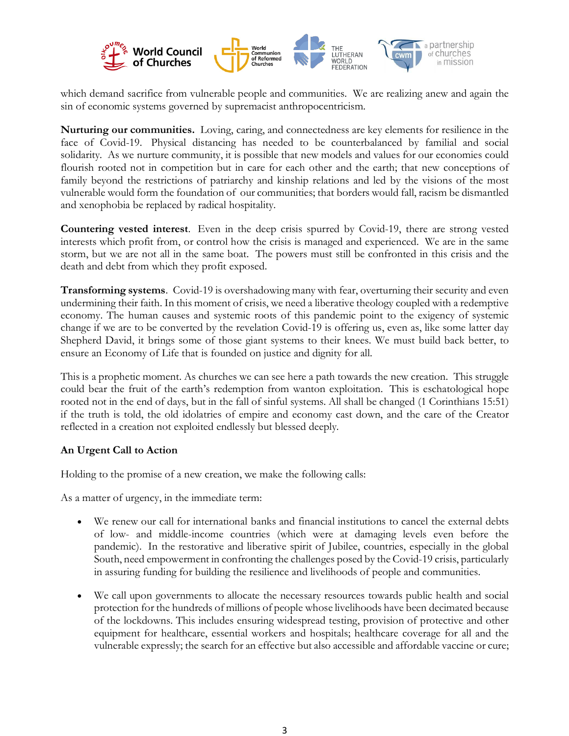

which demand sacrifice from vulnerable people and communities. We are realizing anew and again the sin of economic systems governed by supremacist anthropocentricism.

**Nurturing our communities.** Loving, caring, and connectedness are key elements for resilience in the face of Covid-19. Physical distancing has needed to be counterbalanced by familial and social solidarity. As we nurture community, it is possible that new models and values for our economies could flourish rooted not in competition but in care for each other and the earth; that new conceptions of family beyond the restrictions of patriarchy and kinship relations and led by the visions of the most vulnerable would form the foundation of our communities; that borders would fall, racism be dismantled and xenophobia be replaced by radical hospitality.

**Countering vested interest**. Even in the deep crisis spurred by Covid-19, there are strong vested interests which profit from, or control how the crisis is managed and experienced. We are in the same storm, but we are not all in the same boat. The powers must still be confronted in this crisis and the death and debt from which they profit exposed.

**Transforming systems**. Covid-19 is overshadowing many with fear, overturning their security and even undermining their faith. In this moment of crisis, we need a liberative theology coupled with a redemptive economy. The human causes and systemic roots of this pandemic point to the exigency of systemic change if we are to be converted by the revelation Covid-19 is offering us, even as, like some latter day Shepherd David, it brings some of those giant systems to their knees. We must build back better, to ensure an Economy of Life that is founded on justice and dignity for all.

This is a prophetic moment. As churches we can see here a path towards the new creation. This struggle could bear the fruit of the earth's redemption from wanton exploitation. This is eschatological hope rooted not in the end of days, but in the fall of sinful systems. All shall be changed (1 Corinthians 15:51) if the truth is told, the old idolatries of empire and economy cast down, and the care of the Creator reflected in a creation not exploited endlessly but blessed deeply.

#### **An Urgent Call to Action**

Holding to the promise of a new creation, we make the following calls:

As a matter of urgency, in the immediate term:

- We renew our call for international banks and financial institutions to cancel the external debts of low- and middle-income countries (which were at damaging levels even before the pandemic). In the restorative and liberative spirit of Jubilee, countries, especially in the global South, need empowerment in confronting the challenges posed by the Covid-19 crisis, particularly in assuring funding for building the resilience and livelihoods of people and communities.
- We call upon governments to allocate the necessary resources towards public health and social protection for the hundreds of millions of people whose livelihoods have been decimated because of the lockdowns. This includes ensuring widespread testing, provision of protective and other equipment for healthcare, essential workers and hospitals; healthcare coverage for all and the vulnerable expressly; the search for an effective but also accessible and affordable vaccine or cure;